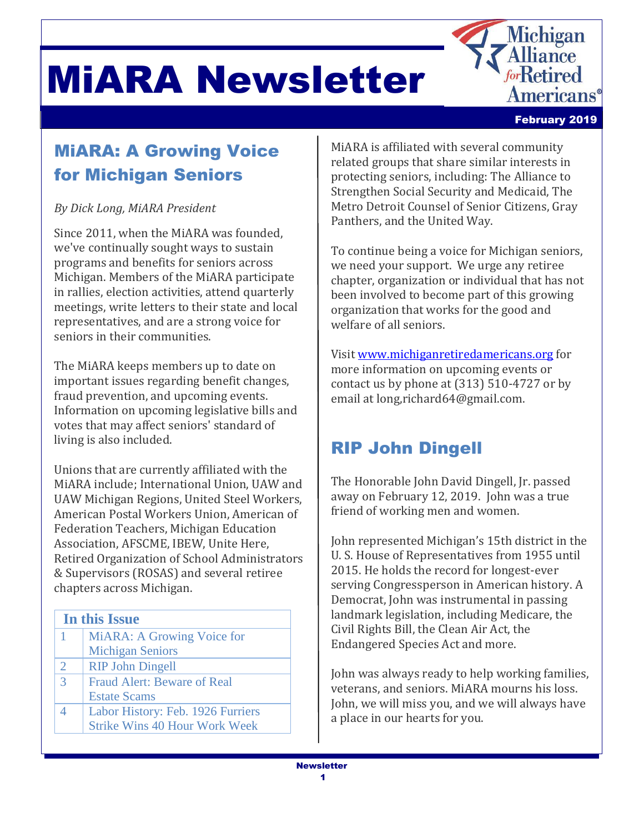



mericans®

<u>lichigan</u> **lliance forRetired** 

# MiARA: A Growing Voice for Michigan Seniors

### *By Dick Long, MiARA President*

Since 2011, when the MiARA was founded, we've continually sought ways to sustain programs and benefits for seniors across Michigan. Members of the MiARA participate in rallies, election activities, attend quarterly meetings, write letters to their state and local representatives, and are a strong voice for seniors in their communities.

The MiARA keeps members up to date on important issues regarding benefit changes, fraud prevention, and upcoming events. Information on upcoming legislative bills and votes that may affect seniors' standard of living is also included.

Unions that are currently affiliated with the MiARA include; International Union, UAW and UAW Michigan Regions, United Steel Workers, American Postal Workers Union, American of Federation Teachers, Michigan Education Association, AFSCME, IBEW, Unite Here, Retired Organization of School Administrators & Supervisors (ROSAS) and several retiree chapters across Michigan.

- 1 MiARA: A Growing Voice for Michigan Seniors
- 2 RIP John Dingell
- 3 Fraud Alert: Beware of Real
- Estate Scams
- 4 Labor History: Feb. 1926 Furriers Strike Wins 40 Hour Work Week

MiARA is affiliated with several community related groups that share similar interests in protecting seniors, including: The Alliance to Strengthen Social Security and Medicaid, The Metro Detroit Counsel of Senior Citizens, Gray Panthers, and the United Way.

To continue being a voice for Michigan seniors, we need your support. We urge any retiree chapter, organization or individual that has not been involved to become part of this growing organization that works for the good and welfare of all seniors.

Visit [www.michiganretiredamericans.org](http://www.michiganretiredamericans.org/) for more information on upcoming events or contact us by phone at (313) 510-4727 or by email at long,richard64@gmail.com.

## RIP John Dingell

The Honorable John David Dingell, Jr. passed away on February 12, 2019. John was a true friend of working men and women.

John represented Michigan's 15th district in the U. S. House of Representatives from 1955 until 2015. He holds the record for longest-ever serving Congressperson in American history. A Democrat, John was instrumental in passing landmark legislation, including Medicare, the Civil Rights Bill, the Clean Air Act, the Endangered Species Act and more.

John was always ready to help working families, veterans, and seniors. MiARA mourns his loss. John, we will miss you, and we will always have a place in our hearts for you.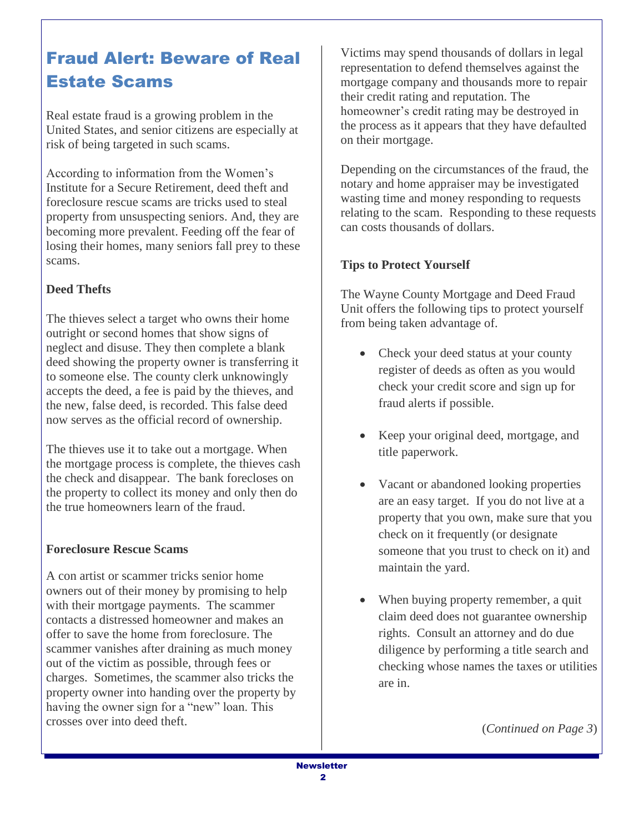## Fraud Alert: Beware of Real Estate Scams

Real estate fraud is a growing problem in the United States, and senior citizens are especially at risk of being targeted in such scams.

According to information from the Women's Institute for a Secure Retirement, deed theft and foreclosure rescue scams are tricks used to steal property from unsuspecting seniors. And, they are becoming more prevalent. Feeding off the fear of losing their homes, many seniors fall prey to these scams.

#### **Deed Thefts**

The thieves select a target who owns their home outright or second homes that show signs of neglect and disuse. They then complete a blank deed showing the property owner is transferring it to someone else. The county clerk unknowingly accepts the deed, a fee is paid by the thieves, and the new, false deed, is recorded. This false deed now serves as the official record of ownership.

The thieves use it to take out a mortgage. When the mortgage process is complete, the thieves cash the check and disappear. The bank forecloses on the property to collect its money and only then do the true homeowners learn of the fraud.

#### **Foreclosure Rescue Scams**

A con artist or scammer tricks senior home owners out of their money by promising to help with their mortgage payments. The scammer contacts a distressed homeowner and makes an offer to save the home from foreclosure. The scammer vanishes after draining as much money out of the victim as possible, through fees or charges. Sometimes, the scammer also tricks the property owner into handing over the property by having the owner sign for a "new" loan. This crosses over into deed theft.

Victims may spend thousands of dollars in legal representation to defend themselves against the mortgage company and thousands more to repair their credit rating and reputation. The homeowner's credit rating may be destroyed in the process as it appears that they have defaulted on their mortgage.

Depending on the circumstances of the fraud, the notary and home appraiser may be investigated wasting time and money responding to requests relating to the scam. Responding to these requests can costs thousands of dollars.

#### **Tips to Protect Yourself**

The Wayne County Mortgage and Deed Fraud Unit offers the following tips to protect yourself from being taken advantage of.

- Check your deed status at your county register of deeds as often as you would check your credit score and sign up for fraud alerts if possible.
- Keep your original deed, mortgage, and title paperwork.
- Vacant or abandoned looking properties are an easy target. If you do not live at a property that you own, make sure that you check on it frequently (or designate someone that you trust to check on it) and maintain the yard.
- When buying property remember, a quit claim deed does not guarantee ownership rights. Consult an attorney and do due diligence by performing a title search and checking whose names the taxes or utilities are in.

(*Continued on Page 3*)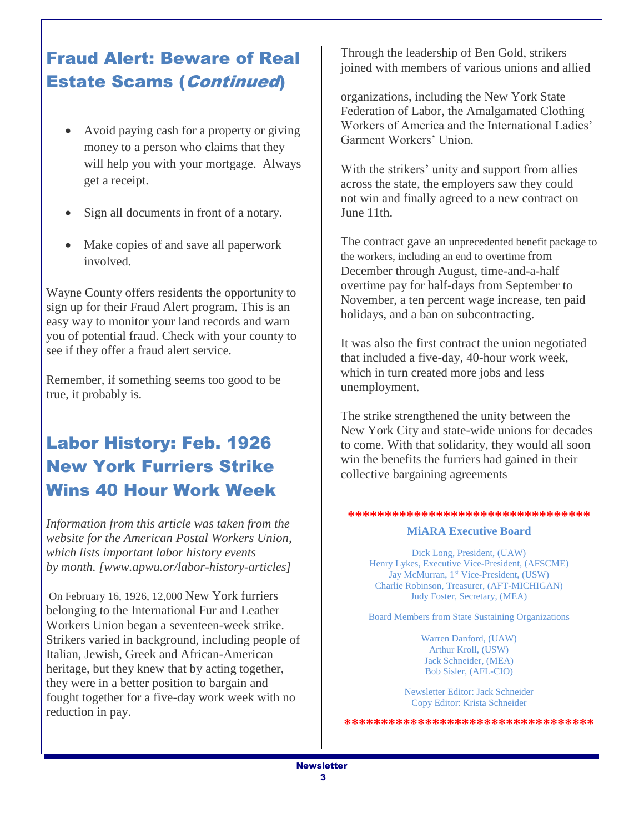### Fraud Alert: Beware of Real Estate Scams (Continued)

- Avoid paying cash for a property or giving money to a person who claims that they will help you with your mortgage. Always get a receipt.
- Sign all documents in front of a notary.
- Make copies of and save all paperwork involved.

Wayne County offers residents the opportunity to sign up for their Fraud Alert program. This is an easy way to monitor your land records and warn you of potential fraud. Check with your county to see if they offer a fraud alert service.

Remember, if something seems too good to be true, it probably is.

# Labor History: Feb. 1926 New York Furriers Strike Wins 40 Hour Work Week

*Information from this article was taken from the website for the American Postal Workers Union, which lists important labor history events by month. [www.apwu.or/labor-history-articles]*

On February 16, 1926, 12,000 New York furriers belonging to the International Fur and Leather Workers Union began a seventeen-week strike. Strikers varied in background, including people of Italian, Jewish, Greek and African-American heritage, but they knew that by acting together, they were in a better position to bargain and fought together for a five-day work week with no reduction in pay.

Through the leadership of Ben Gold, strikers joined with members of various unions and allied

organizations, including the New York State Federation of Labor, the Amalgamated Clothing Workers of America and the International Ladies' Garment Workers' Union.

With the strikers' unity and support from allies across the state, the employers saw they could not win and finally agreed to a new contract on June 11th.

The contract gave an unprecedented benefit package to the workers, including an end to overtime from December through August, time-and-a-half overtime pay for half-days from September to November, a ten percent wage increase, ten paid holidays, and a ban on subcontracting.

It was also the first contract the union negotiated that included a five-day, 40-hour work week, which in turn created more jobs and less unemployment.

The strike strengthened the unity between the New York City and state-wide unions for decades to come. With that solidarity, they would all soon win the benefits the furriers had gained in their collective bargaining agreements

#### **\*\*\*\*\*\*\*\*\*\*\*\*\*\*\*\*\*\*\*\*\*\*\*\*\*\*\*\*\*\*\*\*\***

#### **MiARA Executive Board**

Dick Long, President, (UAW) Henry Lykes, Executive Vice-President, (AFSCME) Jay McMurran, 1<sup>st</sup> Vice-President, (USW) Charlie Robinson, Treasurer, (AFT-MICHIGAN) Judy Foster, Secretary, (MEA)

Board Members from State Sustaining Organizations

Warren Danford, (UAW) Arthur Kroll, (USW) Jack Schneider, (MEA) Bob Sisler, (AFL-CIO)

Newsletter Editor: Jack Schneider Copy Editor: Krista Schneider

**\*\*\*\*\*\*\*\*\*\*\*\*\*\*\*\*\*\*\*\*\*\*\*\*\*\*\*\*\*\*\*\*\*\***